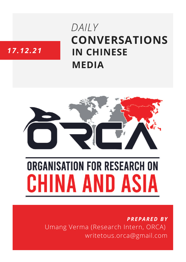## DAILY **CONVERSATIONS IN CHINESE MEDIA**

### 17.12.21



# **ORGANISATION FOR RESEARCH ON HINA AND ASIA**

**PREPARED BY** Umang Verma (Research Intern, ORCA) writetous.orca@gmail.com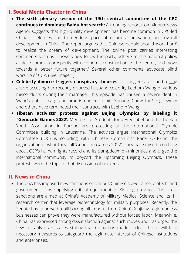#### **I. Social Media Chatter in China**

- **The sixth plenary session of the 19th central committee of the CPC continues to dominate Baidu hot search:** A [trending](https://baijiahao.baidu.com/s?id=1718274442366537709&wfr=spider&for=pc) report from Xinhua News Agency suggests that high-quality development has become common in CPC-led China. It glorifies the tremendous pace of reforms, innovation, and overall development in China. The report argues that Chinese people should 'work hard' to realize the dream of development. The online post carries interesting comments such as 'Unswervingly follow the party, adhere to the national policy, achieve common prosperity with economic construction as the center, and move towards a better future together.' Several other comments advocate blind worship of CCP. (See Image 1)
- **Celebrity divorce triggers [conspiracy](https://mbd.baidu.com/newspage/data/landingsuper?context=%7B%22nid%22%3A%22news_9092491816171155810%22%7D&n_type=1&p_from=4) theories:** Li Lianglei has issued a long article accusing her recently divorced husband celebrity Leehom Wang of various misconducts during their marriage. This [episode](https://baijiahao.baidu.com/s?id=1719451038841980951&wfr=spider&for=pc) has caused a severe dent in Wang's public image and brands named Infiniti, Shuang, Chow Tai Seng jewelry and others have terminated their contracts with Leehom Wang.
- **Tibetan activists' protests against Bejing Olympics by labeling it 'Genocide Games 2022':** Members of Students for a Free Tibet and the Tibetan Youth Association in Europe are [protesting](https://twitter.com/vtje_tyae/status/1469645874414370823) at the International Olympic Committee building in Lausanne. The activists argue International Olympics Committee (IOC) is colluding with Chinese Communist Party (CCP) in the organization of what they call 'Genocide Games 2022'. They have raised a red flag about CCP's human rights record and its clampdown on minorities and urged the international community to boycott the upcoming Beijing Olympics. These protests were the topic of hot discussion of netizens.

#### **II. News in China**

The [USA](https://www.thehindu.com/news/international/us-imposes-sanctions-against-china-over-abuse-of-uyghurs/article37972556.ece) has imposed new sanctions on various Chinese surveillance, biotech, and government firms supplying critical equipment in Xinjiang province. The latest sanctions are aimed at China's Academy of Military Medical Science and its 11 research center that leverage biotechnology for military purposes. Recently, the Senate has approved a bill barring all imports from China's Xinjiang region unless businesses can prove they were manufactured without forced labor. Meanwhile, [China](https://news.cgtn.com/news/2021-12-17/China-firmly-opposes-U-S-sanctions-against-Chinese-firms-164bBzt5Aic/index.html) has expressed strong dissatisfaction against such moves and has urged the USA to ratify its mistakes stating that China has made it clear that it will take necessary measures to safeguard the legitimate interest of Chinese institutions and enterprises.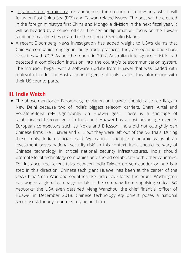- [Japanese](https://www.japantimes.co.jp/news/2021/12/17/national/japan-foreign-ministry-taiwan/) foreign ministry has announced the creation of a new post which will focus on East China Sea (ECS) and Taiwan-related issues. The post will be created in the foreign ministry's first China and Mongolia division in the next fiscal year. It will be headed by a senior official. The senior diplomat will focus on the Taiwan strait and maritime ties related to the disputed Senkaku Islands.
- A recent [Bloomberg](https://www.bloomberg.com/news/articles/2021-12-16/chinese-spies-accused-of-using-huawei-in-secret-australian-telecom-hack) News investigation has added weight to USA's claims that Chinese companies engage in faulty trade practices, they are opaque and share close ties with CCP. As per the report, in 2012, Australian intelligence officials had detected a complication intrusion into the country's telecommunication system. The intrusion began with a software update from Huawei that was loaded with malevolent code. The Australian intelligence officials shared this information with their US counterparts.

#### **III. India Watch**

The above-mentioned Bloomberg revelation on Huawei should raise red flags in New Delhi because two of India's biggest telecom carriers, Bharti Airtel and Vodafone-Idea rely significantly on Huawei gear. There is a shortage of sophisticated telecom gear in India and Huawei has a cost advantage over its European competitors such as Nokia and Ericsson. India did not outrightly ban Chinese firms like Huawei and ZTE but they were left out of the 5G trials. During these trials, Indian officials said 'we cannot prioritize economic gains if an investment poses national security risk'. In this context, India should be wary of Chinese technology in critical national security infrastructures. India should promote local technology companies and should collaborate with other countries. For instance, the recent talks between India-Taiwan on semiconductor hub is a step in this direction. Chinese tech giant Huawei has been at the center of the USA-China 'Tech War' and countries like India have faced the brunt. Washington has waged a global campaign to block the company from supplying critical 5G networks; the USA even detained Meng [Wanzhou,](https://indianexpress.com/article/opinion/columns/the-tech-wars-are-here-huawei-cfo-meng-wanzhou-arrest-5487264/) the chief financial officer of Huawei in December 2018. Chinese technology equipment poses a national security risk for any countries relying on them.